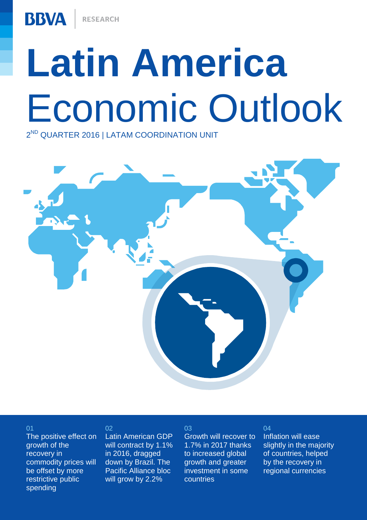# **Latin America** Economic Outlook

2<sup>ND</sup> QUARTER 2016 | LATAM COORDINATION UNIT



03

### 01

The positive effect on growth of the recovery in commodity prices will be offset by more restrictive public spending

#### 02

Latin American GDP will contract by 1.1% in 2016, dragged down by Brazil. The Pacific Alliance bloc will grow by 2.2%

### Growth will recover to 1.7% in 2017 thanks to increased global growth and greater investment in some countries

### 04

Inflation will ease slightly in the majority of countries, helped by the recovery in regional currencies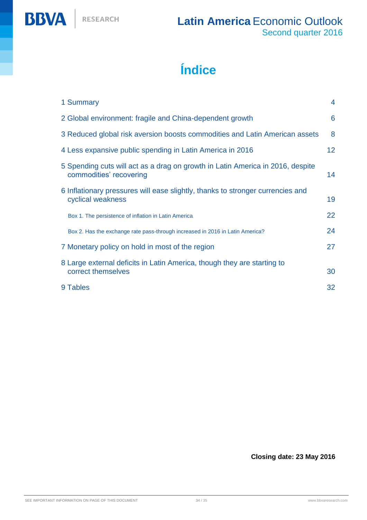# **Índice**

| 1 Summary                                                                                                 | $\overline{4}$ |
|-----------------------------------------------------------------------------------------------------------|----------------|
| 2 Global environment: fragile and China-dependent growth                                                  | 6              |
| 3 Reduced global risk aversion boosts commodities and Latin American assets                               | 8              |
| 4 Less expansive public spending in Latin America in 2016                                                 | 12             |
| 5 Spending cuts will act as a drag on growth in Latin America in 2016, despite<br>commodities' recovering | 14             |
| 6 Inflationary pressures will ease slightly, thanks to stronger currencies and<br>cyclical weakness       | 19             |
| Box 1. The persistence of inflation in Latin America                                                      | 22             |
| Box 2. Has the exchange rate pass-through increased in 2016 in Latin America?                             | 24             |
| 7 Monetary policy on hold in most of the region                                                           | 27             |
| 8 Large external deficits in Latin America, though they are starting to<br>correct themselves             | 30             |
| 9 Tables                                                                                                  | 32             |

### **Closing date: 23 May 2016**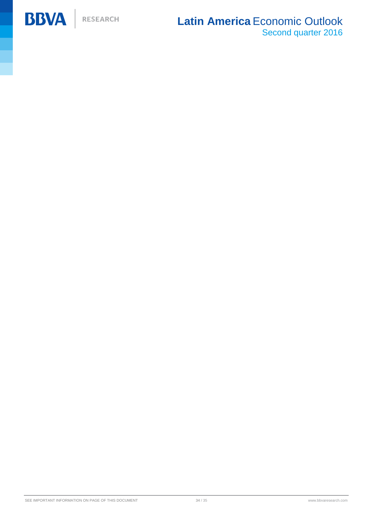RESEARCH

**BBVA** 

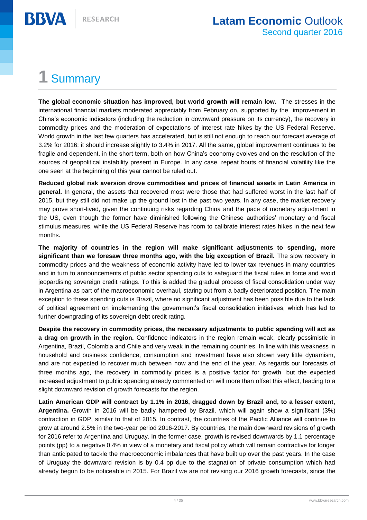# <span id="page-3-0"></span>**1** Summary

**BBVA** 

**The global economic situation has improved, but world growth will remain low.** The stresses in the international financial markets moderated appreciably from February on, supported by the improvement in China's economic indicators (including the reduction in downward pressure on its currency), the recovery in commodity prices and the moderation of expectations of interest rate hikes by the US Federal Reserve. World growth in the last few quarters has accelerated, but is still not enough to reach our forecast average of 3.2% for 2016; it should increase slightly to 3.4% in 2017. All the same, global improvement continues to be fragile and dependent, in the short term, both on how China's economy evolves and on the resolution of the sources of geopolitical instability present in Europe. In any case, repeat bouts of financial volatility like the one seen at the beginning of this year cannot be ruled out.

**Reduced global risk aversion drove commodities and prices of financial assets in Latin America in general.** In general, the assets that recovered most were those that had suffered worst in the last half of 2015, but they still did not make up the ground lost in the past two years. In any case, the market recovery may prove short-lived, given the continuing risks regarding China and the pace of monetary adjustment in the US, even though the former have diminished following the Chinese authorities' monetary and fiscal stimulus measures, while the US Federal Reserve has room to calibrate interest rates hikes in the next few months.

**The majority of countries in the region will make significant adjustments to spending, more significant than we foresaw three months ago, with the big exception of Brazil.** The slow recovery in commodity prices and the weakness of economic activity have led to lower tax revenues in many countries and in turn to announcements of public sector spending cuts to safeguard the fiscal rules in force and avoid jeopardising sovereign credit ratings. To this is added the gradual process of fiscal consolidation under way in Argentina as part of the macroeconomic overhaul, staring out from a badly deteriorated position. The main exception to these spending cuts is Brazil, where no significant adjustment has been possible due to the lack of political agreement on implementing the government's fiscal consolidation initiatives, which has led to further downgrading of its sovereign debt credit rating.

**Despite the recovery in commodity prices, the necessary adjustments to public spending will act as a drag on growth in the region.** Confidence indicators in the region remain weak, clearly pessimistic in Argentina, Brazil, Colombia and Chile and very weak in the remaining countries. In line with this weakness in household and business confidence, consumption and investment have also shown very little dynamism, and are not expected to recover much between now and the end of the year. As regards our forecasts of three months ago, the recovery in commodity prices is a positive factor for growth, but the expected increased adjustment to public spending already commented on will more than offset this effect, leading to a slight downward revision of growth forecasts for the region.

**Latin American GDP will contract by 1.1% in 2016, dragged down by Brazil and, to a lesser extent, Argentina.** Growth in 2016 will be badly hampered by Brazil, which will again show a significant (3%) contraction in GDP, similar to that of 2015. In contrast, the countries of the Pacific Alliance will continue to grow at around 2.5% in the two-year period 2016-2017. By countries, the main downward revisions of growth for 2016 refer to Argentina and Uruguay. In the former case, growth is revised downwards by 1.1 percentage points (pp) to a negative 0.4% in view of a monetary and fiscal policy which will remain contractive for longer than anticipated to tackle the macroeconomic imbalances that have built up over the past years. In the case of Uruguay the downward revision is by 0.4 pp due to the stagnation of private consumption which had already begun to be noticeable in 2015. For Brazil we are not revising our 2016 growth forecasts, since the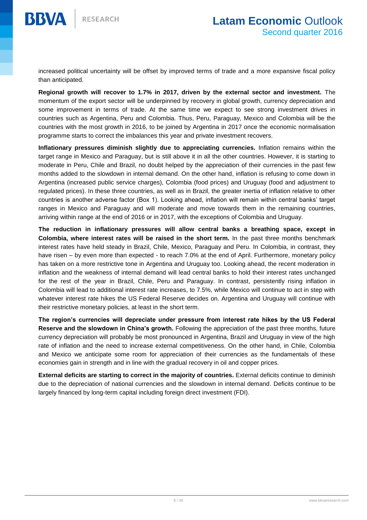increased political uncertainty will be offset by improved terms of trade and a more expansive fiscal policy than anticipated.

**Regional growth will recover to 1.7% in 2017, driven by the external sector and investment.** The momentum of the export sector will be underpinned by recovery in global growth, currency depreciation and some improvement in terms of trade. At the same time we expect to see strong investment drives in countries such as Argentina, Peru and Colombia. Thus, Peru, Paraguay, Mexico and Colombia will be the countries with the most growth in 2016, to be joined by Argentina in 2017 once the economic normalisation programme starts to correct the imbalances this year and private investment recovers.

**Inflationary pressures diminish slightly due to appreciating currencies.** Inflation remains within the target range in Mexico and Paraguay, but is still above it in all the other countries. However, it is starting to moderate in Peru, Chile and Brazil, no doubt helped by the appreciation of their currencies in the past few months added to the slowdown in internal demand. On the other hand, inflation is refusing to come down in Argentina (increased public service charges), Colombia (food prices) and Uruguay (food and adjustment to regulated prices). In these three countries, as well as in Brazil, the greater inertia of inflation relative to other countries is another adverse factor (Box 1). Looking ahead, inflation will remain within central banks' target ranges in Mexico and Paraguay and will moderate and move towards them in the remaining countries, arriving within range at the end of 2016 or in 2017, with the exceptions of Colombia and Uruguay.

**The reduction in inflationary pressures will allow central banks a breathing space, except in Colombia, where interest rates will be raised in the short term.** In the past three months benchmark interest rates have held steady in Brazil, Chile, Mexico, Paraguay and Peru. In Colombia, in contrast, they have risen – by even more than expected - to reach 7.0% at the end of April. Furthermore, monetary policy has taken on a more restrictive tone in Argentina and Uruguay too. Looking ahead, the recent moderation in inflation and the weakness of internal demand will lead central banks to hold their interest rates unchanged for the rest of the year in Brazil, Chile, Peru and Paraguay. In contrast, persistently rising inflation in Colombia will lead to additional interest rate increases, to 7.5%, while Mexico will continue to act in step with whatever interest rate hikes the US Federal Reserve decides on. Argentina and Uruguay will continue with their restrictive monetary policies, at least in the short term.

**The region's currencies will depreciate under pressure from interest rate hikes by the US Federal Reserve and the slowdown in China's growth.** Following the appreciation of the past three months, future currency depreciation will probably be most pronounced in Argentina, Brazil and Uruguay in view of the high rate of inflation and the need to increase external competitiveness. On the other hand, in Chile, Colombia and Mexico we anticipate some room for appreciation of their currencies as the fundamentals of these economies gain in strength and in line with the gradual recovery in oil and copper prices.

**External deficits are starting to correct in the majority of countries.** External deficits continue to diminish due to the depreciation of national currencies and the slowdown in internal demand. Deficits continue to be largely financed by long-term capital including foreign direct investment (FDI).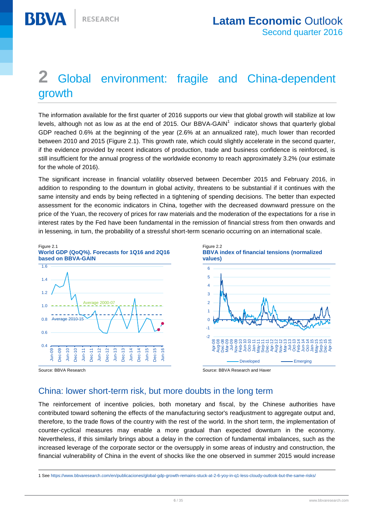# <span id="page-5-0"></span>**2** Global environment: fragile and China-dependent growth

The information available for the first quarter of 2016 supports our view that global growth will stabilize at low levels, although not as low as at the end of 2015. Our BBVA-GAIN<sup>1</sup> indicator shows that quarterly global GDP reached 0.6% at the beginning of the year (2.6% at an annualized rate), much lower than recorded between 2010 and 2015 (Figure 2.1). This growth rate, which could slightly accelerate in the second quarter, if the evidence provided by recent indicators of production, trade and business confidence is reinforced, is still insufficient for the annual progress of the worldwide economy to reach approximately 3.2% (our estimate for the whole of 2016).

The significant increase in financial volatility observed between December 2015 and February 2016, in addition to responding to the downturn in global activity, threatens to be substantial if it continues with the same intensity and ends by being reflected in a tightening of spending decisions. The better than expected assessment for the economic indicators in China, together with the decreased downward pressure on the price of the Yuan, the recovery of prices for raw materials and the moderation of the expectations for a rise in interest rates by the Fed have been fundamental in the remission of financial stress from then onwards and in lessening, in turn, the probability of a stressful short-term scenario occurring on an international scale.



# China: lower short-term risk, but more doubts in the long term

The reinforcement of incentive policies, both monetary and fiscal, by the Chinese authorities have contributed toward softening the effects of the manufacturing sector's readjustment to aggregate output and, therefore, to the trade flows of the country with the rest of the world. In the short term, the implementation of counter-cyclical measures may enable a more gradual than expected downturn in the economy. Nevertheless, if this similarly brings about a delay in the correction of fundamental imbalances, such as the increased leverage of the corporate sector or the oversupply in some areas of industry and construction, the financial vulnerability of China in the event of shocks like the one observed in summer 2015 would increase

 $\overline{a}$ 1 Se[e https://www.bbvaresearch.com/en/publicaciones/global-gdp-growth-remains-stuck-at-2-6-yoy-in-q1-less-cloudy-outlook-but-the-same-risks/](https://www.bbvaresearch.com/en/publicaciones/global-gdp-growth-remains-stuck-at-2-6-yoy-in-q1-less-cloudy-outlook-but-the-same-risks/)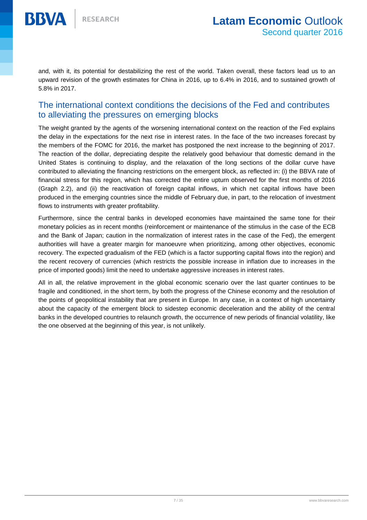and, with it, its potential for destabilizing the rest of the world. Taken overall, these factors lead us to an upward revision of the growth estimates for China in 2016, up to 6.4% in 2016, and to sustained growth of 5.8% in 2017.

# The international context conditions the decisions of the Fed and contributes to alleviating the pressures on emerging blocks

The weight granted by the agents of the worsening international context on the reaction of the Fed explains the delay in the expectations for the next rise in interest rates. In the face of the two increases forecast by the members of the FOMC for 2016, the market has postponed the next increase to the beginning of 2017. The reaction of the dollar, depreciating despite the relatively good behaviour that domestic demand in the United States is continuing to display, and the relaxation of the long sections of the dollar curve have contributed to alleviating the financing restrictions on the emergent block, as reflected in: (i) the BBVA rate of financial stress for this region, which has corrected the entire upturn observed for the first months of 2016 (Graph 2.2), and (ii) the reactivation of foreign capital inflows, in which net capital inflows have been produced in the emerging countries since the middle of February due, in part, to the relocation of investment flows to instruments with greater profitability.

Furthermore, since the central banks in developed economies have maintained the same tone for their monetary policies as in recent months (reinforcement or maintenance of the stimulus in the case of the ECB and the Bank of Japan; caution in the normalization of interest rates in the case of the Fed), the emergent authorities will have a greater margin for manoeuvre when prioritizing, among other objectives, economic recovery. The expected gradualism of the FED (which is a factor supporting capital flows into the region) and the recent recovery of currencies (which restricts the possible increase in inflation due to increases in the price of imported goods) limit the need to undertake aggressive increases in interest rates.

All in all, the relative improvement in the global economic scenario over the last quarter continues to be fragile and conditioned, in the short term, by both the progress of the Chinese economy and the resolution of the points of geopolitical instability that are present in Europe. In any case, in a context of high uncertainty about the capacity of the emergent block to sidestep economic deceleration and the ability of the central banks in the developed countries to relaunch growth, the occurrence of new periods of financial volatility, like the one observed at the beginning of this year, is not unlikely.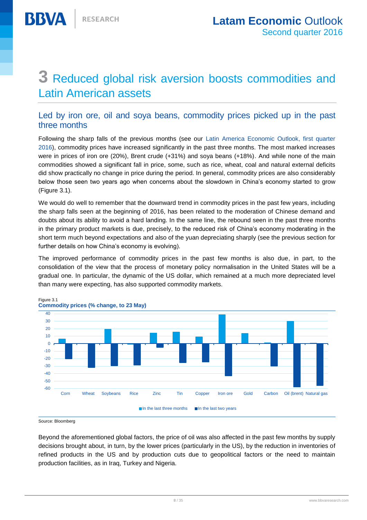# <span id="page-7-0"></span>**3** Reduced global risk aversion boosts commodities and Latin American assets

# Led by iron ore, oil and soya beans, commodity prices picked up in the past three months

Following the sharp falls of the previous months (see our [Latin America Economic Outlook, first quarter](https://www.bbvaresearch.com/wp-content/uploads/2016/03/Latam_Economic_Outlook_1Q16.pdf)  [2016\)](https://www.bbvaresearch.com/wp-content/uploads/2016/03/Latam_Economic_Outlook_1Q16.pdf), commodity prices have increased significantly in the past three months. The most marked increases were in prices of iron ore (20%), Brent crude (+31%) and soya beans (+18%). And while none of the main commodities showed a significant fall in price, some, such as rice, wheat, coal and natural external deficits did show practically no change in price during the period. In general, commodity prices are also considerably below those seen two years ago when concerns about the slowdown in China's economy started to grow (Figure 3.1).

We would do well to remember that the downward trend in commodity prices in the past few years, including the sharp falls seen at the beginning of 2016, has been related to the moderation of Chinese demand and doubts about its ability to avoid a hard landing. In the same line, the rebound seen in the past three months in the primary product markets is due, precisely, to the reduced risk of China's economy moderating in the short term much beyond expectations and also of the yuan depreciating sharply (see the previous section for further details on how China's economy is evolving).

The improved performance of commodity prices in the past few months is also due, in part, to the consolidation of the view that the process of monetary policy normalisation in the United States will be a gradual one. In particular, the dynamic of the US dollar, which remained at a much more depreciated level than many were expecting, has also supported commodity markets.





Source: Bloomberg

Beyond the aforementioned global factors, the price of oil was also affected in the past few months by supply decisions brought about, in turn, by the lower prices (particularly in the US), by the reduction in inventories of refined products in the US and by production cuts due to geopolitical factors or the need to maintain production facilities, as in Iraq, Turkey and Nigeria.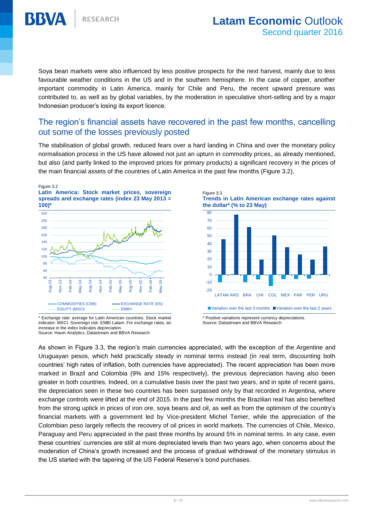

Soya bean markets were also influenced by less positive prospects for the next harvest, mainly due to less favourable weather conditions in the US and in the southern hemisphere. In the case of copper, another important commodity in Latin America, mainly for Chile and Peru, the recent upward pressure was contributed to, as well as by global variables, by the moderation in speculative short-selling and by a major Indonesian producer's losing its export licence.

# The region's financial assets have recovered in the past few months, cancelling out some of the losses previously posted

The stabilisation of global growth, reduced fears over a hard landing in China and over the monetary policy normalisation process in the US have allowed not just an upturn in commodity prices, as already mentioned, but also (and partly linked to the improved prices for primary products) a significant recovery in the prices of the main financial assets of the countries of Latin America in the past few months (Figure 3.2).

Figure 3.2

BBVA





\* Exchange rate: average for Latin American countries. Stock market indicator: MSCI. Sovereign risk: EMBI Latam. For exchange rates, an increase in the index indicates depreciation. Source: Haver Analytics, Datastream and BBVA Research





\* Positive variations represent currency depreciations. Source: Datastream and BBVA Research

As shown in Figure 3.3, the region's main currencies appreciated, with the exception of the Argentine and Uruguayan pesos, which held practically steady in nominal terms instead (in real term, discounting both countries' high rates of inflation, both currencies have appreciated). The recent appreciation has been more marked in Brazil and Colombia (9% and 15% respectively), the previous depreciation having also been greater in both countries. Indeed, on a cumulative basis over the past two years, and in spite of recent gains, the depreciation seen in these two countries has been surpassed only by that recorded in Argentina, where exchange controls were lifted at the end of 2015. In the past few months the Brazilian real has also benefited from the strong uptick in prices of iron ore, soya beans and oil, as well as from the optimism of the country's financial markets with a government led by Vice-president Michel Temer, while the appreciation of the Colombian peso largely reflects the recovery of oil prices in world markets. The currencies of Chile, Mexico, Paraguay and Peru appreciated in the past three months by around 5% in nominal terms. In any case, even these countries' currencies are still at more depreciated levels than two years ago, when concerns about the moderation of China's growth increased and the process of gradual withdrawal of the monetary stimulus in the US started with the tapering of the US Federal Reserve's bond purchases.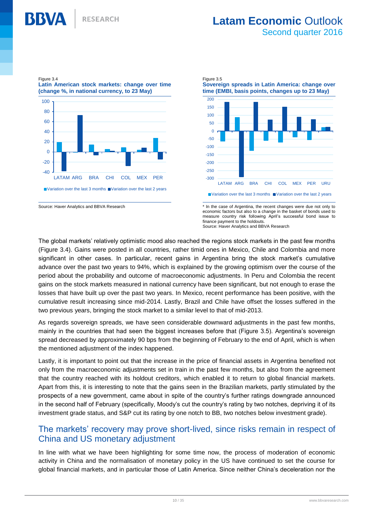**Latin American stock markets: change over time** 





Figure 3.4

**BBVA** 

The global markets' relatively optimistic mood also reached the regions stock markets in the past few months (Figure 3.4). Gains were posted in all countries, rather timid ones in Mexico, Chile and Colombia and more significant in other cases. In particular, recent gains in Argentina bring the stock market's cumulative advance over the past two years to 94%, which is explained by the growing optimism over the course of the period about the probability and outcome of macroeconomic adjustments. In Peru and Colombia the recent gains on the stock markets measured in national currency have been significant, but not enough to erase the losses that have built up over the past two years. In Mexico, recent performance has been positive, with the cumulative result increasing since mid-2014. Lastly, Brazil and Chile have offset the losses suffered in the two previous years, bringing the stock market to a similar level to that of mid-2013.

As regards sovereign spreads, we have seen considerable downward adjustments in the past few months, mainly in the countries that had seen the biggest increases before that (Figure 3.5). Argentina's sovereign spread decreased by approximately 90 bps from the beginning of February to the end of April, which is when the mentioned adjustment of the index happened.

Lastly, it is important to point out that the increase in the price of financial assets in Argentina benefited not only from the macroeconomic adjustments set in train in the past few months, but also from the agreement that the country reached with its holdout creditors, which enabled it to return to global financial markets. Apart from this, it is interesting to note that the gains seen in the Brazilian markets, partly stimulated by the prospects of a new government, came about in spite of the country's further ratings downgrade announced in the second half of February (specifically, Moody's cut the country's rating by two notches, depriving it of its investment grade status, and S&P cut its rating by one notch to BB, two notches below investment grade).

# The markets' recovery may prove short-lived, since risks remain in respect of China and US monetary adjustment

In line with what we have been highlighting for some time now, the process of moderation of economic activity in China and the normalisation of monetary policy in the US have continued to set the course for global financial markets, and in particular those of Latin America. Since neither China's deceleration nor the

economic factors but also to a change in the basket of bonds used to measure country risk following April's successful bond issue to finance payment to the holdouts. Source: Haver Analytics and BBVA Research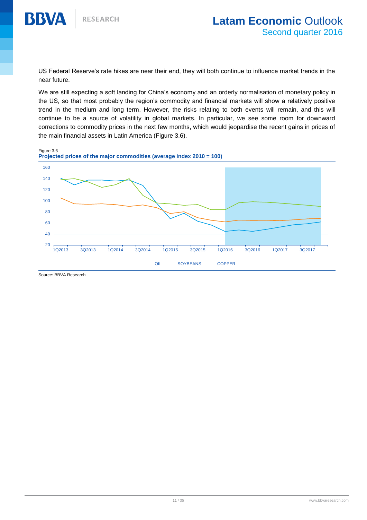

US Federal Reserve's rate hikes are near their end, they will both continue to influence market trends in the near future.

We are still expecting a soft landing for China's economy and an orderly normalisation of monetary policy in the US, so that most probably the region's commodity and financial markets will show a relatively positive trend in the medium and long term. However, the risks relating to both events will remain, and this will continue to be a source of volatility in global markets. In particular, we see some room for downward corrections to commodity prices in the next few months, which would jeopardise the recent gains in prices of the main financial assets in Latin America (Figure 3.6).



Figure 3.6 **Projected prices of the major commodities (average index 2010 = 100)**

Source: BBVA Research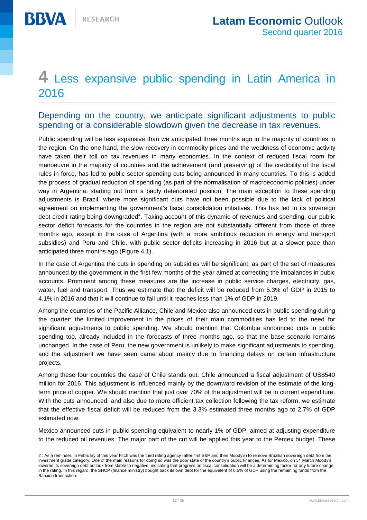$\overline{a}$ 

# <span id="page-11-0"></span>**4** Less expansive public spending in Latin America in 2016

### Depending on the country, we anticipate significant adjustments to public spending or a considerable slowdown given the decrease in tax revenues.

Public spending will be less expansive than we anticipated three months ago in the majority of countries in the region. On the one hand, the slow recovery in commodity prices and the weakness of economic activity have taken their toll on tax revenues in many economies. In the context of reduced fiscal room for manoeuvre in the majority of countries and the achievement (and preserving) of the credibility of the fiscal rules in force, has led to public sector spending cuts being announced in many countries. To this is added the process of gradual reduction of spending (as part of the normalisation of macroeconomic policies) under way in Argentina, starting out from a badly deteriorated position. The main exception to these spending adjustments is Brazil, where more significant cuts have not been possible due to the lack of political agreement on implementing the government's fiscal consolidation initiatives. This has led to its sovereign debt credit rating being downgraded<sup>2</sup>. Taking account of this dynamic of revenues and spending, our public sector deficit forecasts for the countries in the region are not substantially different from those of three months ago, except in the case of Argentina (with a more ambitious reduction in energy and transport subsidies) and Peru and Chile, with public sector deficits increasing in 2016 but at a slower pace than anticipated three months ago (Figure 4.1).

In the case of Argentina the cuts in spending on subsidies will be significant, as part of the set of measures announced by the government in the first few months of the year aimed at correcting the imbalances in pubic accounts. Prominent among these measures are the increase in public service charges, electricity, gas, water, fuel and transport. Thus we estimate that the deficit will be reduced from 5.3% of GDP in 2015 to 4.1% in 2016 and that it will continue to fall until it reaches less than 1% of GDP in 2019.

Among the countries of the Pacific Alliance, Chile and Mexico also announced cuts in public spending during the quarter: the limited improvement in the prices of their main commodities has led to the need for significant adjustments to public spending. We should mention that Colombia announced cuts in public spending too, already included in the forecasts of three months ago, so that the base scenario remains unchanged. In the case of Peru, the new government is unlikely to make significant adjustments to spending, and the adjustment we have seen came about mainly due to financing delays on certain infrastructure projects.

Among these four countries the case of Chile stands out: Chile announced a fiscal adjustment of US\$540 million for 2016. This adjustment is influenced mainly by the downward revision of the estimate of the longterm price of copper. We should mention that just over 70% of the adjustment will be in current expenditure. With the cuts announced, and also due to more efficient tax collection following the tax reform, we estimate that the effective fiscal deficit will be reduced from the 3.3% estimated three months ago to 2.7% of GDP estimated now.

Mexico announced cuts in public spending equivalent to nearly 1% of GDP, aimed at adjusting expenditure to the reduced oil revenues. The major part of the cut will be applied this year to the Pemex budget. These

<sup>2</sup> : As a reminder, in February of this year Fitch was the third rating agency (after first S&P and then Moody's) to remove Brazilian sovereign debt from the investment grade category. One of the main reasons for doing so was the poor state of the country's public finances. As for Mexico, on 31 March Moody's lowered its sovereign debt outlook from stable to negative, indicating that progress on fiscal consolidation will be a determining factor for any future change in the rating. In this regard, the SHCP (finance ministry) bought back its own debt for the equivalent of 0.5% of GDP using the remaining funds from the Banxico transaction.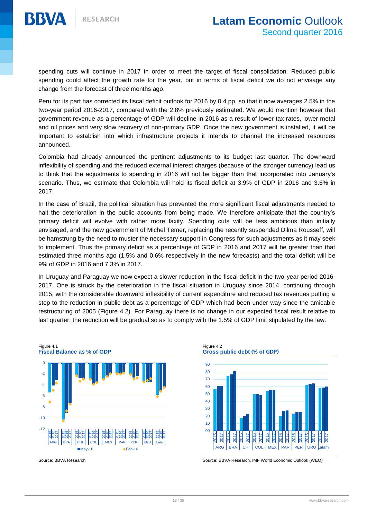

spending cuts will continue in 2017 in order to meet the target of fiscal consolidation. Reduced public spending could affect the growth rate for the year, but in terms of fiscal deficit we do not envisage any change from the forecast of three months ago.

Peru for its part has corrected its fiscal deficit outlook for 2016 by 0.4 pp, so that it now averages 2.5% in the two-year period 2016-2017, compared with the 2.8% previously estimated. We would mention however that government revenue as a percentage of GDP will decline in 2016 as a result of lower tax rates, lower metal and oil prices and very slow recovery of non-primary GDP. Once the new government is installed, it will be important to establish into which infrastructure projects it intends to channel the increased resources announced.

Colombia had already announced the pertinent adjustments to its budget last quarter. The downward inflexibility of spending and the reduced external interest charges (because of the stronger currency) lead us to think that the adjustments to spending in 2016 will not be bigger than that incorporated into January's scenario. Thus, we estimate that Colombia will hold its fiscal deficit at 3.9% of GDP in 2016 and 3.6% in 2017.

In the case of Brazil, the political situation has prevented the more significant fiscal adjustments needed to halt the deterioration in the public accounts from being made. We therefore anticipate that the country's primary deficit will evolve with rather more laxity. Spending cuts will be less ambitious than initially envisaged, and the new government of Michel Temer, replacing the recently suspended Dilma Rousseff, will be hamstrung by the need to muster the necessary support in Congress for such adjustments as it may seek to implement. Thus the primary deficit as a percentage of GDP in 2016 and 2017 will be greater than that estimated three months ago (1.5% and 0.6% respectively in the new forecasts) and the total deficit will be 9% of GDP in 2016 and 7.3% in 2017.

In Uruguay and Paraguay we now expect a slower reduction in the fiscal deficit in the two-year period 2016- 2017. One is struck by the deterioration in the fiscal situation in Uruguay since 2014, continuing through 2015, with the considerable downward inflexibility of current expenditure and reduced tax revenues putting a stop to the reduction in public debt as a percentage of GDP which had been under way since the amicable restructuring of 2005 (Figure 4.2). For Paraguay there is no change in our expected fiscal result relative to last quarter; the reduction will be gradual so as to comply with the 1.5% of GDP limit stipulated by the law.



Figure 4.2 **Gross public debt (% of GDP)**



Source: BBVA Research Source: BBVA Research. IMF World Economic Outlook (WEO)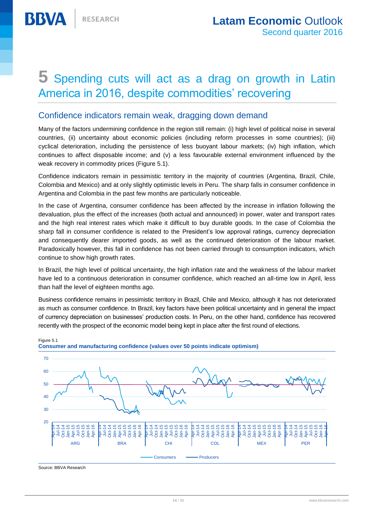# <span id="page-13-0"></span>**5** Spending cuts will act as a drag on growth in Latin America in 2016, despite commodities' recovering

# Confidence indicators remain weak, dragging down demand

Many of the factors undermining confidence in the region still remain: (i) high level of political noise in several countries, (ii) uncertainty about economic policies (including reform processes in some countries); (iii) cyclical deterioration, including the persistence of less buoyant labour markets; (iv) high inflation, which continues to affect disposable income; and (v) a less favourable external environment influenced by the weak recovery in commodity prices (Figure 5.1).

Confidence indicators remain in pessimistic territory in the majority of countries (Argentina, Brazil, Chile, Colombia and Mexico) and at only slightly optimistic levels in Peru. The sharp falls in consumer confidence in Argentina and Colombia in the past few months are particularly noticeable.

In the case of Argentina, consumer confidence has been affected by the increase in inflation following the devaluation, plus the effect of the increases (both actual and announced) in power, water and transport rates and the high real interest rates which make it difficult to buy durable goods. In the case of Colombia the sharp fall in consumer confidence is related to the President's low approval ratings, currency depreciation and consequently dearer imported goods, as well as the continued deterioration of the labour market. Paradoxically however, this fall in confidence has not been carried through to consumption indicators, which continue to show high growth rates.

In Brazil, the high level of political uncertainty, the high inflation rate and the weakness of the labour market have led to a continuous deterioration in consumer confidence, which reached an all-time low in April, less than half the level of eighteen months ago.

Business confidence remains in pessimistic territory in Brazil, Chile and Mexico, although it has not deteriorated as much as consumer confidence. In Brazil, key factors have been political uncertainty and in general the impact of currency depreciation on businesses' production costs. In Peru, on the other hand, confidence has recovered recently with the prospect of the economic model being kept in place after the first round of elections.



Figure 5.1 **Consumer and manufacturing confidence (values over 50 points indicate optimism)**

Source: BBVA Research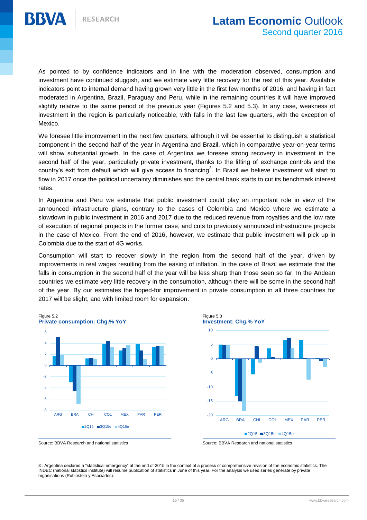

As pointed to by confidence indicators and in line with the moderation observed, consumption and investment have continued sluggish, and we estimate very little recovery for the rest of this year. Available indicators point to internal demand having grown very little in the first few months of 2016, and having in fact moderated in Argentina, Brazil, Paraguay and Peru, while in the remaining countries it will have improved slightly relative to the same period of the previous year (Figures 5.2 and 5.3). In any case, weakness of investment in the region is particularly noticeable, with falls in the last few quarters, with the exception of Mexico.

We foresee little improvement in the next few quarters, although it will be essential to distinguish a statistical component in the second half of the year in Argentina and Brazil, which in comparative year-on-year terms will show substantial growth. In the case of Argentina we foresee strong recovery in investment in the second half of the year, particularly private investment, thanks to the lifting of exchange controls and the country's exit from default which will give access to financing<sup>3</sup>. In Brazil we believe investment will start to flow in 2017 once the political uncertainty diminishes and the central bank starts to cut its benchmark interest rates.

In Argentina and Peru we estimate that public investment could play an important role in view of the announced infrastructure plans, contrary to the cases of Colombia and Mexico where we estimate a slowdown in public investment in 2016 and 2017 due to the reduced revenue from royalties and the low rate of execution of regional projects in the former case, and cuts to previously announced infrastructure projects in the case of Mexico. From the end of 2016, however, we estimate that public investment will pick up in Colombia due to the start of 4G works.

Consumption will start to recover slowly in the region from the second half of the year, driven by improvements in real wages resulting from the easing of inflation. In the case of Brazil we estimate that the falls in consumption in the second half of the year will be less sharp than those seen so far. In the Andean countries we estimate very little recovery in the consumption, although there will be some in the second half of the year. By our estimates the hoped-for improvement in private consumption in all three countries for 2017 will be slight, and with limited room for expansion.





Source: BBVA Research and national statistics Source: BBVA Research and national statistics

 $\overline{a}$ 3 : Argentina declared a "statistical emergency" at the end of 2015 in the context of a process of comprehensive revision of the economic statistics. The INDEC (national statistics institute) will resume publication of statistics in June of this year. For the analysis we used series generate by private organisations (Rubinstein y Asociados).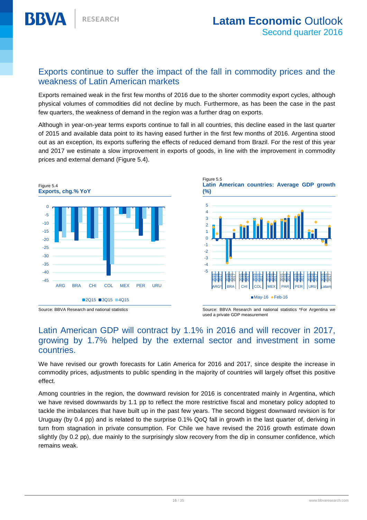# Exports continue to suffer the impact of the fall in commodity prices and the weakness of Latin American markets

Exports remained weak in the first few months of 2016 due to the shorter commodity export cycles, although physical volumes of commodities did not decline by much. Furthermore, as has been the case in the past few quarters, the weakness of demand in the region was a further drag on exports.

Although in year-on-year terms exports continue to fall in all countries, this decline eased in the last quarter of 2015 and available data point to its having eased further in the first few months of 2016. Argentina stood out as an exception, its exports suffering the effects of reduced demand from Brazil. For the rest of this year and 2017 we estimate a slow improvement in exports of goods, in line with the improvement in commodity prices and external demand (Figure 5.4).



Figure 5.5 **Latin American countries: Average GDP growth (%)**



Source: BBVA Research and national statistics Source: BBVA Research and national statistics \*For Argentina we used a private GDP measurement

# Latin American GDP will contract by 1.1% in 2016 and will recover in 2017, growing by 1.7% helped by the external sector and investment in some countries.

We have revised our growth forecasts for Latin America for 2016 and 2017, since despite the increase in commodity prices, adjustments to public spending in the majority of countries will largely offset this positive effect.

Among countries in the region, the downward revision for 2016 is concentrated mainly in Argentina, which we have revised downwards by 1.1 pp to reflect the more restrictive fiscal and monetary policy adopted to tackle the imbalances that have built up in the past few years. The second biggest downward revision is for Uruguay (by 0.4 pp) and is related to the surprise 0.1% QoQ fall in growth in the last quarter of, deriving in turn from stagnation in private consumption. For Chile we have revised the 2016 growth estimate down slightly (by 0.2 pp), due mainly to the surprisingly slow recovery from the dip in consumer confidence, which remains weak.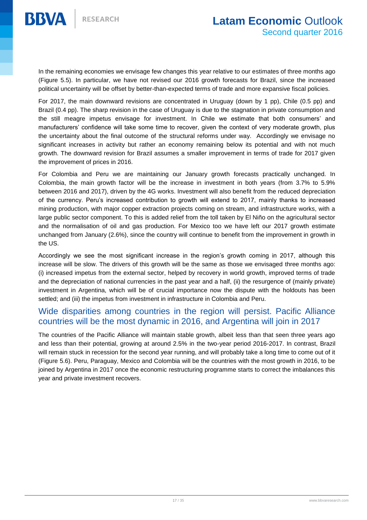In the remaining economies we envisage few changes this year relative to our estimates of three months ago (Figure 5.5). In particular, we have not revised our 2016 growth forecasts for Brazil, since the increased political uncertainty will be offset by better-than-expected terms of trade and more expansive fiscal policies.

For 2017, the main downward revisions are concentrated in Uruguay (down by 1 pp), Chile (0.5 pp) and Brazil (0.4 pp). The sharp revision in the case of Uruguay is due to the stagnation in private consumption and the still meagre impetus envisage for investment. In Chile we estimate that both consumers' and manufacturers' confidence will take some time to recover, given the context of very moderate growth, plus the uncertainty about the final outcome of the structural reforms under way. Accordingly we envisage no significant increases in activity but rather an economy remaining below its potential and with not much growth. The downward revision for Brazil assumes a smaller improvement in terms of trade for 2017 given the improvement of prices in 2016.

For Colombia and Peru we are maintaining our January growth forecasts practically unchanged. In Colombia, the main growth factor will be the increase in investment in both years (from 3.7% to 5.9% between 2016 and 2017), driven by the 4G works. Investment will also benefit from the reduced depreciation of the currency. Peru's increased contribution to growth will extend to 2017, mainly thanks to increased mining production, with major copper extraction projects coming on stream, and infrastructure works, with a large public sector component. To this is added relief from the toll taken by El Niño on the agricultural sector and the normalisation of oil and gas production. For Mexico too we have left our 2017 growth estimate unchanged from January (2.6%), since the country will continue to benefit from the improvement in growth in the US.

Accordingly we see the most significant increase in the region's growth coming in 2017, although this increase will be slow. The drivers of this growth will be the same as those we envisaged three months ago: (i) increased impetus from the external sector, helped by recovery in world growth, improved terms of trade and the depreciation of national currencies in the past year and a half, (ii) the resurgence of (mainly private) investment in Argentina, which will be of crucial importance now the dispute with the holdouts has been settled; and (iii) the impetus from investment in infrastructure in Colombia and Peru.

### Wide disparities among countries in the region will persist. Pacific Alliance countries will be the most dynamic in 2016, and Argentina will join in 2017

The countries of the Pacific Alliance will maintain stable growth, albeit less than that seen three years ago and less than their potential, growing at around 2.5% in the two-year period 2016-2017. In contrast, Brazil will remain stuck in recession for the second year running, and will probably take a long time to come out of it (Figure 5.6). Peru, Paraguay, Mexico and Colombia will be the countries with the most growth in 2016, to be joined by Argentina in 2017 once the economic restructuring programme starts to correct the imbalances this year and private investment recovers.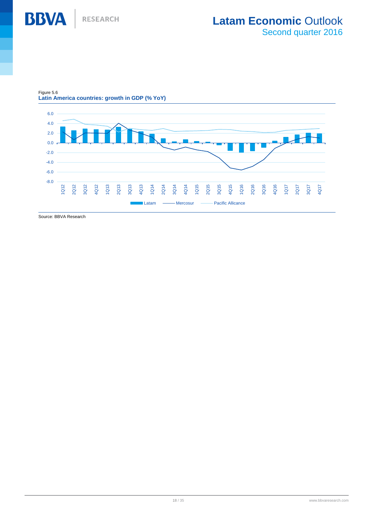Figure 5.6 **Latin America countries: growth in GDP (% YoY)**



Source: BBVA Research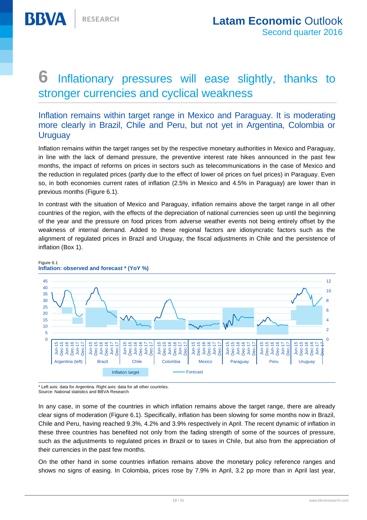# <span id="page-18-0"></span>**6** Inflationary pressures will ease slightly, thanks to stronger currencies and cyclical weakness

# Inflation remains within target range in Mexico and Paraguay. It is moderating more clearly in Brazil, Chile and Peru, but not yet in Argentina, Colombia or **Uruguay**

Inflation remains within the target ranges set by the respective monetary authorities in Mexico and Paraguay, in line with the lack of demand pressure, the preventive interest rate hikes announced in the past few months, the impact of reforms on prices in sectors such as telecommunications in the case of Mexico and the reduction in regulated prices (partly due to the effect of lower oil prices on fuel prices) in Paraguay. Even so, in both economies current rates of inflation (2.5% in Mexico and 4.5% in Paraguay) are lower than in previous months (Figure 6.1).

In contrast with the situation of Mexico and Paraguay, inflation remains above the target range in all other countries of the region, with the effects of the depreciation of national currencies seen up until the beginning of the year and the pressure on food prices from adverse weather events not being entirely offset by the weakness of internal demand. Added to these regional factors are idiosyncratic factors such as the alignment of regulated prices in Brazil and Uruguay, the fiscal adjustments in Chile and the persistence of inflation (Box 1).



#### Figure 6.1 **Inflation: observed and forecast \* (YoY %)**

\* Left axis: data for Argentina. Right axis: data for all other countries.

Source: National statistics and BBVA Research

In any case, in some of the countries in which inflation remains above the target range, there are already clear signs of moderation (Figure 6.1). Specifically, inflation has been slowing for some months now in Brazil, Chile and Peru, having reached 9.3%, 4.2% and 3.9% respectively in April. The recent dynamic of inflation in these three countries has benefited not only from the fading strength of some of the sources of pressure, such as the adjustments to regulated prices in Brazil or to taxes in Chile, but also from the appreciation of their currencies in the past few months.

On the other hand in some countries inflation remains above the monetary policy reference ranges and shows no signs of easing. In Colombia, prices rose by 7.9% in April, 3.2 pp more than in April last year,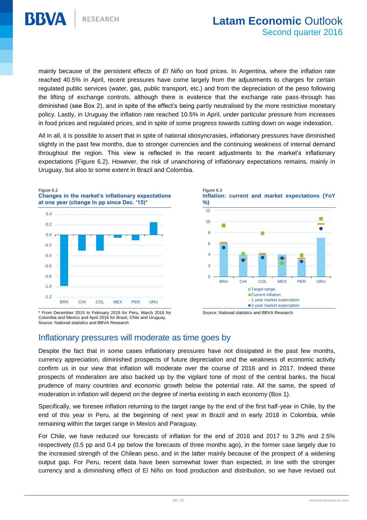

mainly because of the persistent effects of *El Niño* on food prices. In Argentina, where the inflation rate reached 40.5% in April, recent pressures have come largely from the adjustments to charges for certain regulated public services (water, gas, public transport, etc.) and from the depreciation of the peso following the lifting of exchange controls, although there is evidence that the exchange rate pass-through has diminished (see Box 2), and in spite of the effect's being partly neutralised by the more restrictive monetary policy. Lastly, in Uruguay the inflation rate reached 10.5% in April, under particular pressure from increases in food prices and regulated prices, and in spite of some progress towards cutting down on wage indexation.

All in all, it is possible to assert that in spite of national idiosyncrasies, inflationary pressures have diminished slightly in the past few months, due to stronger currencies and the continuing weakness of internal demand throughout the region. This view is reflected in the recent adjustments to the market's inflationary expectations (Figure 6.2). However, the risk of unanchoring of inflationary expectations remains, mainly in Uruguay, but also to some extent in Brazil and Colombia.

Figure 6.3



Figure 6.2

**BBVA** 

**Inflation: current and market expectations (YoY %)** 12



\* From December 2015 to February 2016 for Peru, March 2016 for Colombia and Mexico and April 2016 for Brazil, Chile and Uruguay. Source: National statistics and BBVA Research



### Inflationary pressures will moderate as time goes by

Despite the fact that in some cases inflationary pressures have not dissipated in the past few months, currency appreciation, diminished prospects of future depreciation and the weakness of economic activity confirm us in our view that inflation will moderate over the course of 2016 and in 2017. Indeed these prospects of moderation are also backed up by the vigilant tone of most of the central banks, the fiscal prudence of many countries and economic growth below the potential rate. All the same, the speed of moderation in inflation will depend on the degree of inertia existing in each economy (Box 1).

Specifically, we foresee inflation returning to the target range by the end of the first half-year in Chile, by the end of this year in Peru, at the beginning of next year in Brazil and in early 2018 in Colombia, while remaining within the target range in Mexico and Paraguay.

For Chile, we have reduced our forecasts of inflation for the end of 2016 and 2017 to 3.2% and 2.5% respectively (0.5 pp and 0.4 pp below the forecasts of three months ago), in the former case largely due to the increased strength of the Chilean peso, and in the latter mainly because of the prospect of a widening output gap. For Peru, recent data have been somewhat lower than expected, in line with the stronger currency and a diminishing effect of El Niño on food production and distribution, so we have revised out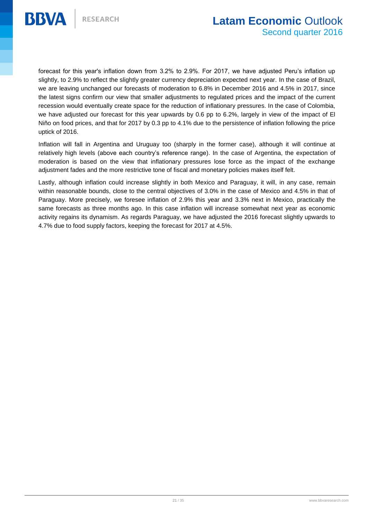

forecast for this year's inflation down from 3.2% to 2.9%. For 2017, we have adjusted Peru's inflation up slightly, to 2.9% to reflect the slightly greater currency depreciation expected next year. In the case of Brazil, we are leaving unchanged our forecasts of moderation to 6.8% in December 2016 and 4.5% in 2017, since the latest signs confirm our view that smaller adjustments to regulated prices and the impact of the current recession would eventually create space for the reduction of inflationary pressures. In the case of Colombia, we have adjusted our forecast for this year upwards by 0.6 pp to 6.2%, largely in view of the impact of El Niño on food prices, and that for 2017 by 0.3 pp to 4.1% due to the persistence of inflation following the price uptick of 2016.

Inflation will fall in Argentina and Uruguay too (sharply in the former case), although it will continue at relatively high levels (above each country's reference range). In the case of Argentina, the expectation of moderation is based on the view that inflationary pressures lose force as the impact of the exchange adjustment fades and the more restrictive tone of fiscal and monetary policies makes itself felt.

Lastly, although inflation could increase slightly in both Mexico and Paraguay, it will, in any case, remain within reasonable bounds, close to the central objectives of 3.0% in the case of Mexico and 4.5% in that of Paraguay. More precisely, we foresee inflation of 2.9% this year and 3.3% next in Mexico, practically the same forecasts as three months ago. In this case inflation will increase somewhat next year as economic activity regains its dynamism. As regards Paraguay, we have adjusted the 2016 forecast slightly upwards to 4.7% due to food supply factors, keeping the forecast for 2017 at 4.5%.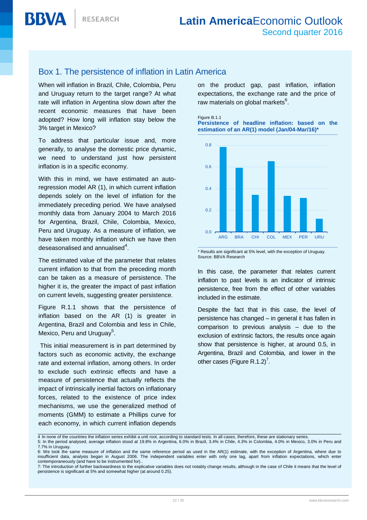# <span id="page-21-0"></span>Box 1. The persistence of inflation in Latin America

When will inflation in Brazil, Chile, Colombia, Peru and Uruguay return to the target range? At what rate will inflation in Argentina slow down after the recent economic measures that have been adopted? How long will inflation stay below the 3% target in Mexico?

To address that particular issue and, more generally, to analyse the domestic price dynamic, we need to understand just how persistent inflation is in a specific economy.

With this in mind, we have estimated an autoregression model AR (1), in which current inflation depends solely on the level of inflation for the immediately preceding period. We have analysed monthly data from January 2004 to March 2016 for Argentina, Brazil, Chile, Colombia, Mexico, Peru and Uruguay. As a measure of inflation, we have taken monthly inflation which we have then deseasonalised and annualised $^4$ .

The estimated value of the parameter that relates current inflation to that from the preceding month can be taken as a measure of persistence. The higher it is, the greater the impact of past inflation on current levels, suggesting greater persistence.

Figure R.1.1 shows that the persistence of inflation based on the AR (1) is greater in Argentina, Brazil and Colombia and less in Chile, Mexico, Peru and Uruguay<sup>5</sup>.

This initial measurement is in part determined by factors such as economic activity, the exchange rate and external inflation, among others. In order to exclude such extrinsic effects and have a measure of persistence that actually reflects the impact of intrinsically inertial factors on inflationary forces, related to the existence of price index mechanisms, we use the generalized method of moments (GMM) to estimate a Phillips curve for each economy, in which current inflation depends

on the product gap, past inflation, inflation expectations, the exchange rate and the price of raw materials on global markets<sup>6</sup>.

#### Figure B.1.1

**Persistence of headline inflation: based on the estimation of an AR(1) model (Jan/04-Mar/16)\***



\* Results are significant at 5% level, with the exception of Uruguay. Source: BBVA Research

In this case, the parameter that relates current inflation to past levels is an indicator of intrinsic persistence, free from the effect of other variables included in the estimate.

Despite the fact that in this case, the level of persistence has changed – in general it has fallen in comparison to previous analysis – due to the exclusion of extrinsic factors, the results once again show that persistence is higher, at around 0.5, in Argentina, Brazil and Colombia, and lower in the other cases (Figure R.1.2)<sup>7</sup>.

<sup>4</sup> In none of the countries the inflation series exhibit a unit root, according to standard tests. In all cases, therefore, these are stationary series.<br>5: In the period analysed, average inflation stood at 19.8% in Argenti 4 In none of the countries the inflation series exhibit a unit root, according to standard tests. In all cases, therefore, these are stationary series. 7.7% in Uruguay.

 $\ddot{s}$ : We took the same measure of inflation and the same reference periodic analysis have a subsequently  $\ddot{a}$ modificial data, analysis began in Adgust 2000. The independent<br>contemporaneously (and have to be instrumented for).. 6: We took the same measure of inflation and the same reference period as used in the AR(1) estimate, with the exception of Argentina, where due to<br>insufficient data analysis began in August 2006. The independent variables contemporaneously (and have to be instrumented for).<br>7: The introduction of further backwardness to the explicative variables does not notably change results, although in the case of Chile it means that the level of insufficient data, analysis began in August 2006. The independent variables enter with only one lag, apart from inflation expectations, which enter

<sup>7.</sup> The introduction of further backwardness to the explicative variables persistence is significant at 5% and somewhat higher (at around 0.25).<br>.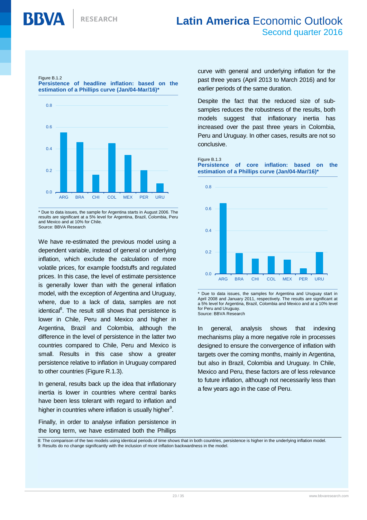#### Figure B.1.2

**BBVA** 

**Persistence of headline inflation: based on the estimation of a Phillips curve (Jan/04-Mar/16)\***



\* Due to data issues, the sample for Argentina starts in August 2006. The results are significant at a 5% level for Argentina, Brazil, Colombia, Peru and Mexico and at 10% for Chile. Source: BBVA Research

We have re-estimated the previous model using a dependent variable, instead of general or underlying inflation, which exclude the calculation of more volatile prices, for example foodstuffs and regulated prices. In this case, the level of estimate persistence is generally lower than with the general inflation model, with the exception of Argentina and Uruguay, where, due to a lack of data, samples are not identical<sup>8</sup>. The result still shows that persistence is lower in Chile, Peru and Mexico and higher in Argentina, Brazil and Colombia, although the difference in the level of persistence in the latter two countries compared to Chile, Peru and Mexico is small. Results in this case show a greater persistence relative to inflation in Uruguay compared to other countries (Figure R.1.3).

In general, results back up the idea that inflationary inertia is lower in countries where central banks have been less tolerant with regard to inflation and higher in countries where inflation is usually higher<sup>9</sup>.

Finally, in order to analyse inflation persistence in the long term, we have estimated both the Phillips

curve with general and underlying inflation for the past three years (April 2013 to March 2016) and for earlier periods of the same duration.

Despite the fact that the reduced size of subsamples reduces the robustness of the results, both models suggest that inflationary inertia has increased over the past three years in Colombia, Peru and Uruguay. In other cases, results are not so conclusive.



**Persistence of core inflation: based on the estimation of a Phillips curve (Jan/04-Mar/16)\***



\* Due to data issues, the samples for Argentina and Uruguay start in April 2008 and January 2011, respectively. The results are significant at a 5% level for Argentina, Brazil, Colombia and Mexico and at a 10% level for Peru and Uruguay. Source: BBVA Research

In general, analysis shows that indexing mechanisms play a more negative role in processes designed to ensure the convergence of inflation with

targets over the coming months, mainly in Argentina, but also in Brazil, Colombia and Uruguay. In Chile, Mexico and Peru, these factors are of less relevance to future inflation, although not necessarily less than a few years ago in the case of Peru.

8: The comparison of the two models using identical periods of time shows that in both countries, persistence is higher in the underlying inflation model. 9: Results do no change significantly with the inclusion of more inflation backwardness in the model.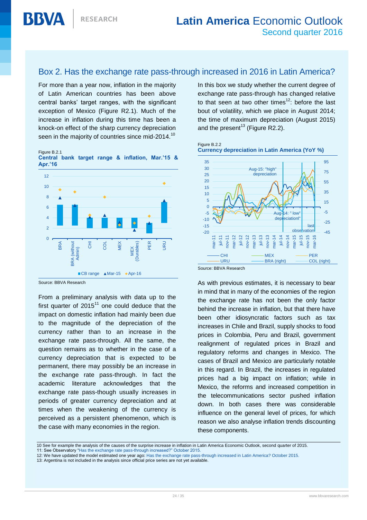# <span id="page-23-0"></span>Box 2. Has the exchange rate pass-through increased in 2016 in Latin America?

For more than a year now, inflation in the majority of Latin American countries has been above central banks' target ranges, with the significant exception of Mexico (Figure R2.1). Much of the increase in inflation during this time has been a knock-on effect of the sharp currency depreciation seen in the majority of countries since mid-2014.<sup>10</sup>

Figure B.2.1 **Central bank target range & inflation, Mar.'15 & Apr.'16**



Source: BBVA Research

From a preliminary analysis with data up to the first quarter of  $2015<sup>11</sup>$  one could deduce that the impact on domestic inflation had mainly been due to the magnitude of the depreciation of the currency rather than to an increase in the exchange rate pass-through. All the same, the question remains as to whether in the case of a currency depreciation that is expected to be permanent, there may possibly be an increase in the exchange rate pass-through. In fact the academic literature acknowledges that the exchange rate pass-though usually increases in periods of greater currency depreciation and at times when the weakening of the currency is perceived as a persistent phenomenon, which is the case with many economies in the region.

In this box we study whether the current degree of exchange rate pass-through has changed relative to that seen at two other times<sup>12</sup>: before the last bout of volatility, which we place in August 2014; the time of maximum depreciation (August 2015) and the present<sup>13</sup> (Figure R2.2).





Source: BBVA Research

As with previous estimates, it is necessary to bear in mind that in many of the economies of the region the exchange rate has not been the only factor behind the increase in inflation, but that there have been other idiosyncratic factors such as tax increases in Chile and Brazil, supply shocks to food prices in Colombia, Peru and Brazil, government realignment of regulated prices in Brazil and regulatory reforms and changes in Mexico. The cases of Brazil and Mexico are particularly notable in this regard. In Brazil, the increases in regulated prices had a big impact on inflation; while in Mexico, the reforms and increased competition in the telecommunications sector pushed inflation down. In both cases there was considerable influence on the general level of prices, for which reason we also analyse inflation trends discounting these components.

<sup>10</sup> See for example the analysis of the causes of the surprise increase in inflation in Latin America Economic Outlook, second quarter of 2015. 11: See Observatory ["Has the exchange rate pass-through increased?" October 2015.](https://www.bbvaresearch.com/en/publicaciones/latam-has-exchange-rate-pass-through-to-prices-increased-in-latin-america/)

<sup>12:</sup> We have updated the model estimated one year ago: [Has the exchange rate pass-through increased in Latin America? October 2015.](https://www.bbvaresearch.com/en/publicaciones/latam-has-exchange-rate-pass-through-to-prices-increased-in-latin-america/)<br>13: Argontina is not included in the analysis since official price sories are not yet avail

<sup>13:</sup> Argentina is not included in the analysis since official price series are not yet available.  $12.4$  MeTher updated the model estimated one year ago:  $H_0$  ago:  $H_0$  ago[: Has the exchange rate](https://www.bbvaresearch.com/en/publicaciones/latam-has-exchange-rate-pass-through-to-prices-increased-in-latin-america/)  $\alpha$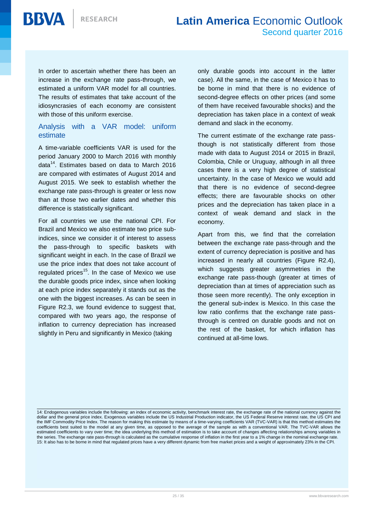In order to ascertain whether there has been an increase in the exchange rate pass-through, we estimated a uniform VAR model for all countries. The results of estimates that take account of the idiosyncrasies of each economy are consistent with those of this uniform exercise.

### Analysis with a VAR model: uniform estimate

A time-variable coefficients VAR is used for the period January 2000 to March 2016 with monthly data $14$ . Estimates based on data to March 2016 are compared with estimates of August 2014 and August 2015. We seek to establish whether the exchange rate pass-through is greater or less now than at those two earlier dates and whether this difference is statistically significant.

For all countries we use the national CPI. For Brazil and Mexico we also estimate two price subindices, since we consider it of interest to assess the pass-through to specific baskets with significant weight in each. In the case of Brazil we use the price index that does not take account of regulated prices<sup>15</sup>. In the case of Mexico we use the durable goods price index, since when looking at each price index separately it stands out as the one with the biggest increases. As can be seen in Figure R2.3, we found evidence to suggest that, compared with two years ago, the response of inflation to currency depreciation has increased slightly in Peru and significantly in Mexico (taking

only durable goods into account in the latter case). All the same, in the case of Mexico it has to be borne in mind that there is no evidence of second-degree effects on other prices (and some of them have received favourable shocks) and the depreciation has taken place in a context of weak demand and slack in the economy.

The current estimate of the exchange rate passthough is not statistically different from those made with data to August 2014 or 2015 in Brazil, Colombia, Chile or Uruguay, although in all three cases there is a very high degree of statistical uncertainty. In the case of Mexico we would add that there is no evidence of second-degree effects; there are favourable shocks on other prices and the depreciation has taken place in a context of weak demand and slack in the economy.

Apart from this, we find that the correlation between the exchange rate pass-through and the extent of currency depreciation is positive and has increased in nearly all countries (Figure R2.4), which suggests greater asymmetries in the exchange rate pass-though (greater at times of depreciation than at times of appreciation such as those seen more recently). The only exception in the general sub-index is Mexico. In this case the low ratio confirms that the exchange rate passthrough is centred on durable goods and not on the rest of the basket, for which inflation has continued at all-time lows.

<sup>14:</sup> Endogenous variables include the following: an index of economic activity, benchmark interest rate, the exchange rate of the national currency against the dollar and the general price index. Exogenous variables include the US Industrial Production indicator, the US Federal Reserve interest rate, the US CPI and the IMF Commodity Price Index. The reason for making this estimate by means of a time-varying coefficients VAR (TVC-VAR) is that this method estimates the coefficients best suited to the model at any given time, as opposed to the average of the sample as with a conventional VAR. The TVC-VAR allows the estimated coefficients to vary over time; the idea underlying this method of estimation is to take account of changes affecting relationships among variables in the series. The exchange rate pass-through is calculated as the cumulative response of inflation in the first year to a 1% change in the nominal exchange rate. 15: It also has to be borne in mind that regulated prices have a very different dynamic from free market prices and a weight of approximately 23% in the CPI.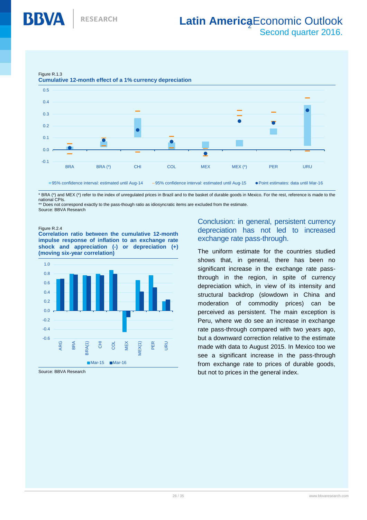Figure R.1.3



\* BRA (\*) and MEX (\*) refer to the index of unregulated prices in Brazil and to the basket of durable goods in Mexico. For the rest, reference is made to the national CPIs.

\* Does not correspond exactly to the pass-though ratio as idiosyncratic items are excluded from the estimate. Source: BBVA Research

#### Figure R.2.4

**BBVA** 

**Correlation ratio between the cumulative 12-month impulse response of inflation to an exchange rate shock and appreciation (-) or depreciation (+) (moving six-year correlation)**



Source: BBVA Research

Conclusion: in general, persistent currency depreciation has not led to increased exchange rate pass-through.

The uniform estimate for the countries studied shows that, in general, there has been no significant increase in the exchange rate passthrough in the region, in spite of currency depreciation which, in view of its intensity and structural backdrop (slowdown in China and moderation of commodity prices) can be perceived as persistent. The main exception is Peru, where we do see an increase in exchange rate pass-through compared with two years ago, but a downward correction relative to the estimate made with data to August 2015. In Mexico too we see a significant increase in the pass-through from exchange rate to prices of durable goods, but not to prices in the general index.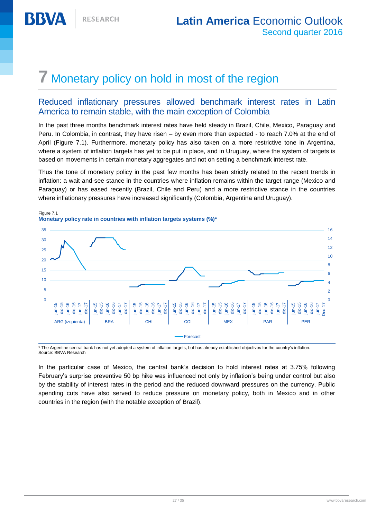# <span id="page-26-0"></span>**7** Monetary policy on hold in most of the region

# Reduced inflationary pressures allowed benchmark interest rates in Latin America to remain stable, with the main exception of Colombia

In the past three months benchmark interest rates have held steady in Brazil, Chile, Mexico, Paraguay and Peru. In Colombia, in contrast, they have risen – by even more than expected - to reach 7.0% at the end of April (Figure 7.1). Furthermore, monetary policy has also taken on a more restrictive tone in Argentina, where a system of inflation targets has yet to be put in place, and in Uruguay, where the system of targets is based on movements in certain monetary aggregates and not on setting a benchmark interest rate.

Thus the tone of monetary policy in the past few months has been strictly related to the recent trends in inflation: a wait-and-see stance in the countries where inflation remains within the target range (Mexico and Paraguay) or has eased recently (Brazil, Chile and Peru) and a more restrictive stance in the countries where inflationary pressures have increased significantly (Colombia, Argentina and Uruguay).



**Monetary policy rate in countries with inflation targets systems (%)\***

Figure 7.1

BBVA

\* The Argentine central bank has not yet adopted a system of inflation targets, but has already established objectives for the country's inflation. Source: BBVA Research

In the particular case of Mexico, the central bank's decision to hold interest rates at 3.75% following February's surprise preventive 50 bp hike was influenced not only by inflation's being under control but also by the stability of interest rates in the period and the reduced downward pressures on the currency. Public spending cuts have also served to reduce pressure on monetary policy, both in Mexico and in other countries in the region (with the notable exception of Brazil).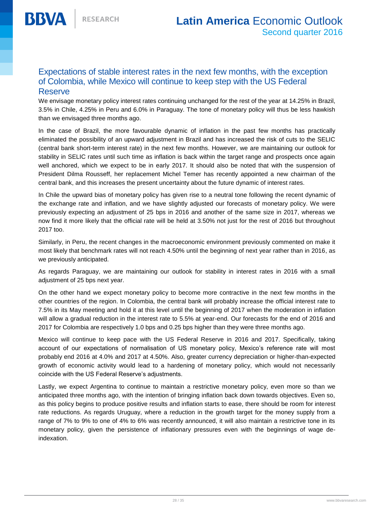# Expectations of stable interest rates in the next few months, with the exception of Colombia, while Mexico will continue to keep step with the US Federal **Reserve**

We envisage monetary policy interest rates continuing unchanged for the rest of the year at 14.25% in Brazil, 3.5% in Chile, 4.25% in Peru and 6.0% in Paraguay. The tone of monetary policy will thus be less hawkish than we envisaged three months ago.

In the case of Brazil, the more favourable dynamic of inflation in the past few months has practically eliminated the possibility of an upward adjustment in Brazil and has increased the risk of cuts to the SELIC (central bank short-term interest rate) in the next few months. However, we are maintaining our outlook for stability in SELIC rates until such time as inflation is back within the target range and prospects once again well anchored, which we expect to be in early 2017. It should also be noted that with the suspension of President Dilma Rousseff, her replacement Michel Temer has recently appointed a new chairman of the central bank, and this increases the present uncertainty about the future dynamic of interest rates.

In Chile the upward bias of monetary policy has given rise to a neutral tone following the recent dynamic of the exchange rate and inflation, and we have slightly adjusted our forecasts of monetary policy. We were previously expecting an adjustment of 25 bps in 2016 and another of the same size in 2017, whereas we now find it more likely that the official rate will be held at 3.50% not just for the rest of 2016 but throughout 2017 too.

Similarly, in Peru, the recent changes in the macroeconomic environment previously commented on make it most likely that benchmark rates will not reach 4.50% until the beginning of next year rather than in 2016, as we previously anticipated.

As regards Paraguay, we are maintaining our outlook for stability in interest rates in 2016 with a small adjustment of 25 bps next year.

On the other hand we expect monetary policy to become more contractive in the next few months in the other countries of the region. In Colombia, the central bank will probably increase the official interest rate to 7.5% in its May meeting and hold it at this level until the beginning of 2017 when the moderation in inflation will allow a gradual reduction in the interest rate to 5.5% at year-end. Our forecasts for the end of 2016 and 2017 for Colombia are respectively 1.0 bps and 0.25 bps higher than they were three months ago.

Mexico will continue to keep pace with the US Federal Reserve in 2016 and 2017. Specifically, taking account of our expectations of normalisation of US monetary policy, Mexico's reference rate will most probably end 2016 at 4.0% and 2017 at 4.50%. Also, greater currency depreciation or higher-than-expected growth of economic activity would lead to a hardening of monetary policy, which would not necessarily coincide with the US Federal Reserve's adjustments.

Lastly, we expect Argentina to continue to maintain a restrictive monetary policy, even more so than we anticipated three months ago, with the intention of bringing inflation back down towards objectives. Even so, as this policy begins to produce positive results and inflation starts to ease, there should be room for interest rate reductions. As regards Uruguay, where a reduction in the growth target for the money supply from a range of 7% to 9% to one of 4% to 6% was recently announced, it will also maintain a restrictive tone in its monetary policy, given the persistence of inflationary pressures even with the beginnings of wage deindexation.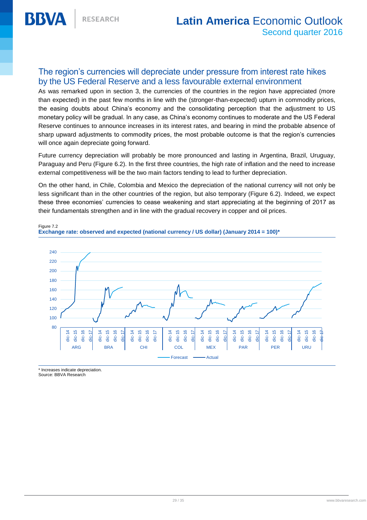# The region's currencies will depreciate under pressure from interest rate hikes by the US Federal Reserve and a less favourable external environment

As was remarked upon in section 3, the currencies of the countries in the region have appreciated (more than expected) in the past few months in line with the (stronger-than-expected) upturn in commodity prices, the easing doubts about China's economy and the consolidating perception that the adjustment to US monetary policy will be gradual. In any case, as China's economy continues to moderate and the US Federal Reserve continues to announce increases in its interest rates, and bearing in mind the probable absence of sharp upward adjustments to commodity prices, the most probable outcome is that the region's currencies will once again depreciate going forward.

Future currency depreciation will probably be more pronounced and lasting in Argentina, Brazil, Uruguay, Paraguay and Peru (Figure 6.2). In the first three countries, the high rate of inflation and the need to increase external competitiveness will be the two main factors tending to lead to further depreciation.

On the other hand, in Chile, Colombia and Mexico the depreciation of the national currency will not only be less significant than in the other countries of the region, but also temporary (Figure 6.2). Indeed, we expect these three economies' currencies to cease weakening and start appreciating at the beginning of 2017 as their fundamentals strengthen and in line with the gradual recovery in copper and oil prices.



Figure 7.2 **Exchange rate: observed and expected (national currency / US dollar) (January 2014 = 100)\***

\* Increases indicate depreciation.

Source: BBVA Research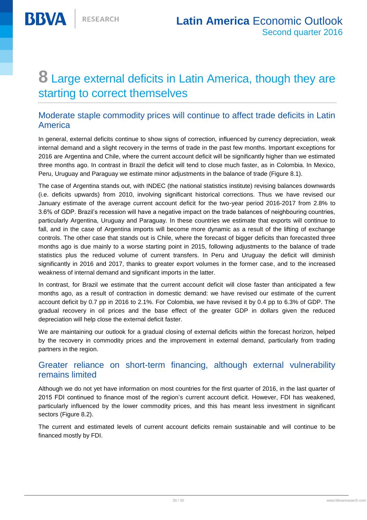# <span id="page-29-0"></span>**8** Large external deficits in Latin America, though they are starting to correct themselves

# Moderate staple commodity prices will continue to affect trade deficits in Latin America

In general, external deficits continue to show signs of correction, influenced by currency depreciation, weak internal demand and a slight recovery in the terms of trade in the past few months. Important exceptions for 2016 are Argentina and Chile, where the current account deficit will be significantly higher than we estimated three months ago. In contrast in Brazil the deficit will tend to close much faster, as in Colombia. In Mexico, Peru, Uruguay and Paraguay we estimate minor adjustments in the balance of trade (Figure 8.1).

The case of Argentina stands out, with INDEC (the national statistics institute) revising balances downwards (i.e. deficits upwards) from 2010, involving significant historical corrections. Thus we have revised our January estimate of the average current account deficit for the two-year period 2016-2017 from 2.8% to 3.6% of GDP. Brazil's recession will have a negative impact on the trade balances of neighbouring countries, particularly Argentina, Uruguay and Paraguay. In these countries we estimate that exports will continue to fall, and in the case of Argentina imports will become more dynamic as a result of the lifting of exchange controls. The other case that stands out is Chile, where the forecast of bigger deficits than forecasted three months ago is due mainly to a worse starting point in 2015, following adjustments to the balance of trade statistics plus the reduced volume of current transfers. In Peru and Uruguay the deficit will diminish significantly in 2016 and 2017, thanks to greater export volumes in the former case, and to the increased weakness of internal demand and significant imports in the latter.

In contrast, for Brazil we estimate that the current account deficit will close faster than anticipated a few months ago, as a result of contraction in domestic demand: we have revised our estimate of the current account deficit by 0.7 pp in 2016 to 2.1%. For Colombia, we have revised it by 0.4 pp to 6.3% of GDP. The gradual recovery in oil prices and the base effect of the greater GDP in dollars given the reduced depreciation will help close the external deficit faster.

We are maintaining our outlook for a gradual closing of external deficits within the forecast horizon, helped by the recovery in commodity prices and the improvement in external demand, particularly from trading partners in the region.

# Greater reliance on short-term financing, although external vulnerability remains limited

Although we do not yet have information on most countries for the first quarter of 2016, in the last quarter of 2015 FDI continued to finance most of the region's current account deficit. However, FDI has weakened, particularly influenced by the lower commodity prices, and this has meant less investment in significant sectors (Figure 8.2).

The current and estimated levels of current account deficits remain sustainable and will continue to be financed mostly by FDI.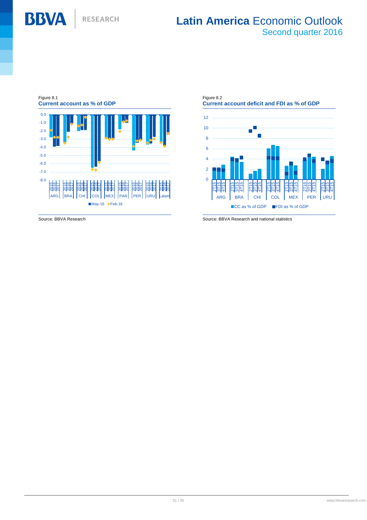Figure 8.1 **Current account as % of GDP** 



Figure 8.2 **Current account deficit and FDI as % of GDP**



Source: BBVA Research Source: BBVA Research and national statistics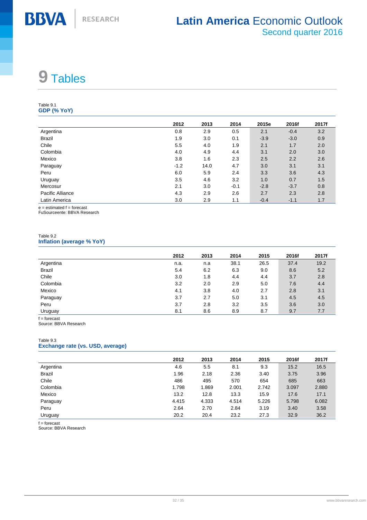# <span id="page-31-0"></span>**9** Tables

#### Table 9.1 **GDP (% YoY)**

**BBVA** 

|                  | 2012   | 2013 | 2014   | 2015e  | 2016f  | 2017f |
|------------------|--------|------|--------|--------|--------|-------|
| Argentina        | 0.8    | 2.9  | 0.5    | 2.1    | $-0.4$ | 3.2   |
| Brazil           | 1.9    | 3.0  | 0.1    | $-3.9$ | $-3.0$ | 0.9   |
| Chile            | 5.5    | 4.0  | 1.9    | 2.1    | 1.7    | 2.0   |
| Colombia         | 4.0    | 4.9  | 4.4    | 3.1    | 2.0    | 3.0   |
| Mexico           | 3.8    | 1.6  | 2.3    | 2.5    | 2.2    | 2.6   |
| Paraguay         | $-1.2$ | 14.0 | 4.7    | 3.0    | 3.1    | 3.1   |
| Peru             | 6.0    | 5.9  | 2.4    | 3.3    | 3.6    | 4.3   |
| Uruguay          | 3.5    | 4.6  | 3.2    | 1.0    | 0.7    | 1.5   |
| Mercosur         | 2.1    | 3.0  | $-0.1$ | $-2.8$ | $-3.7$ | 0.8   |
| Pacific Alliance | 4.3    | 2.9  | 2.6    | 2.7    | 2.3    | 2.8   |
| Latin America    | 3.0    | 2.9  | 1.1    | $-0.4$ | $-1.1$ | 1.7   |

 $e =$  estimated  $f =$  forecast

FuSourceente: BBVA Research

#### Table 9.2

**Inflation (average % YoY)**

|               | 2012 | 2013 | 2014 | 2015 | 2016f | 2017f |
|---------------|------|------|------|------|-------|-------|
| Argentina     | n.a. | n.a  | 38.1 | 26.5 | 37.4  | 19.2  |
| <b>Brazil</b> | 5.4  | 6.2  | 6.3  | 9.0  | 8.6   | 5.2   |
| Chile         | 3.0  | 1.8  | 4.4  | 4.4  | 3.7   | 2.8   |
| Colombia      | 3.2  | 2.0  | 2.9  | 5.0  | 7.6   | 4.4   |
| Mexico        | 4.1  | 3.8  | 4.0  | 2.7  | 2.8   | 3.1   |
| Paraguay      | 3.7  | 2.7  | 5.0  | 3.1  | 4.5   | 4.5   |
| Peru          | 3.7  | 2.8  | 3.2  | 3.5  | 3.6   | 3.0   |
| Uruguay       | 8.1  | 8.6  | 8.9  | 8.7  | 9.7   | 7.7   |

f = forecast

Source: BBVA Research

#### Table 9.3

#### **Exchange rate (vs. USD, average)**

|               | 2012  | 2013  | 2014  | 2015  | 2016f | 2017f |
|---------------|-------|-------|-------|-------|-------|-------|
| Argentina     | 4.6   | 5.5   | 8.1   | 9.3   | 15.2  | 16.5  |
| <b>Brazil</b> | 1.96  | 2.18  | 2.36  | 3.40  | 3.75  | 3.96  |
| Chile         | 486   | 495   | 570   | 654   | 685   | 663   |
| Colombia      | 1.798 | 1.869 | 2.001 | 2.742 | 3.097 | 2.880 |
| Mexico        | 13.2  | 12.8  | 13.3  | 15.9  | 17.6  | 17.1  |
| Paraguay      | 4.415 | 4.333 | 4.514 | 5.226 | 5.798 | 6.082 |
| Peru          | 2.64  | 2.70  | 2.84  | 3.19  | 3.40  | 3.58  |
| Uruguay       | 20.2  | 20.4  | 23.2  | 27.3  | 32.9  | 36.2  |

 $f =$  forecast

Source: BBVA Research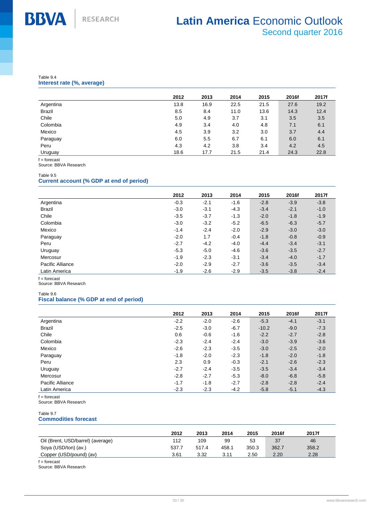#### Table 9.4 **Interest rate (%, average)**

|           | 2012 | 2013 | 2014 | 2015 | 2016f | 2017f |
|-----------|------|------|------|------|-------|-------|
| Argentina | 13.8 | 16.9 | 22.5 | 21.5 | 27.6  | 19.2  |
| Brazil    | 8.5  | 8.4  | 11.0 | 13.6 | 14.3  | 12.4  |
| Chile     | 5.0  | 4.9  | 3.7  | 3.1  | 3.5   | 3.5   |
| Colombia  | 4.9  | 3.4  | 4.0  | 4.8  | 7.1   | 6.1   |
| Mexico    | 4.5  | 3.9  | 3.2  | 3.0  | 3.7   | 4.4   |
| Paraguay  | 6.0  | 5.5  | 6.7  | 6.1  | 6.0   | 6.1   |
| Peru      | 4.3  | 4.2  | 3.8  | 3.4  | 4.2   | 4.5   |
| Uruguay   | 18.6 | 17.7 | 21.5 | 21.4 | 24.3  | 22.8  |

 $f =$ forecast

**BBVA** 

Source: BBVA Research

Table 9.5

#### **Current account (% GDP at end of period)**

|                  | 2012   | 2013   | 2014   | 2015   | 2016f  | 2017f  |
|------------------|--------|--------|--------|--------|--------|--------|
| Argentina        | $-0.3$ | $-2.1$ | $-1.6$ | $-2.8$ | $-3.9$ | $-3.8$ |
| <b>Brazil</b>    | $-3.0$ | $-3.1$ | $-4.3$ | $-3.4$ | $-2.1$ | $-1.0$ |
| Chile            | $-3.5$ | $-3.7$ | $-1.3$ | $-2.0$ | $-1.8$ | $-1.9$ |
| Colombia         | $-3.0$ | $-3.2$ | $-5.2$ | $-6.5$ | $-6.3$ | $-5.7$ |
| Mexico           | $-1.4$ | $-2.4$ | $-2.0$ | $-2.9$ | $-3.0$ | $-3.0$ |
| Paraguay         | $-2.0$ | 1.7    | $-0.4$ | $-1.8$ | $-0.8$ | $-0.9$ |
| Peru             | $-2.7$ | $-4.2$ | $-4.0$ | $-4.4$ | $-3.4$ | $-3.1$ |
| Uruguay          | $-5.3$ | $-5.0$ | $-4.6$ | $-3.6$ | $-3.5$ | $-2.7$ |
| Mercosur         | $-1.9$ | $-2.3$ | $-3.1$ | $-3.4$ | $-4.0$ | $-1.7$ |
| Pacific Alliance | $-2.0$ | $-2.9$ | $-2.7$ | $-3.6$ | $-3.5$ | $-3.4$ |
| Latin America    | $-1.9$ | $-2.6$ | $-2.9$ | $-3.5$ | $-3.8$ | $-2.4$ |

f = forecast Source: BBVA Research

Table 9.6

#### **Fiscal balance (% GDP at end of period)**

|                  | 2012   | 2013   | 2014   | 2015    | 2016f  | 2017f  |
|------------------|--------|--------|--------|---------|--------|--------|
| Argentina        | $-2.2$ | $-2.0$ | $-2.6$ | $-5.3$  | $-4.1$ | $-3.1$ |
| <b>Brazil</b>    | $-2.5$ | $-3.0$ | $-6.7$ | $-10.2$ | $-9.0$ | $-7.3$ |
| Chile            | 0.6    | $-0.6$ | $-1.6$ | $-2.2$  | $-2.7$ | $-2.8$ |
| Colombia         | $-2.3$ | $-2.4$ | $-2.4$ | $-3.0$  | $-3.9$ | $-3.6$ |
| Mexico           | $-2.6$ | $-2.3$ | $-3.5$ | $-3.0$  | $-2.5$ | $-2.0$ |
| Paraguay         | $-1.8$ | $-2.0$ | $-2.3$ | $-1.8$  | $-2.0$ | $-1.8$ |
| Peru             | 2.3    | 0.9    | $-0.3$ | $-2.1$  | $-2.6$ | $-2.3$ |
| Uruguay          | $-2.7$ | $-2.4$ | $-3.5$ | $-3.5$  | $-3.4$ | $-3.4$ |
| Mercosur         | $-2.8$ | $-2.7$ | $-5.3$ | $-8.0$  | $-6.8$ | $-5.8$ |
| Pacific Alliance | $-1.7$ | $-1.8$ | $-2.7$ | $-2.8$  | $-2.8$ | $-2.4$ |
| Latin America    | $-2.3$ | $-2.3$ | $-4.2$ | $-5.8$  | $-5.1$ | $-4.3$ |

 $f =$  forecast

Source: BBVA Research

Table 9.7 **Commodities forecast**

|                                   | 2012  | 2013  | 2014  | 2015  | 2016f | 2017f |
|-----------------------------------|-------|-------|-------|-------|-------|-------|
| Oil (Brent, USD/barrel) (average) | 112   | 109   | 99    | 53    | 37    | 46    |
| Soya (USD/ton) (av.)              | 537.7 | 517.4 | 458.1 | 350.3 | 362.7 | 358.2 |
| Copper (USD/pound) (av)           | 3.61  | 3.32  | 3.11  | 2.50  | 2.20  | 2.28  |
|                                   |       |       |       |       |       |       |

 $f =$ forecast

Source: BBVA Research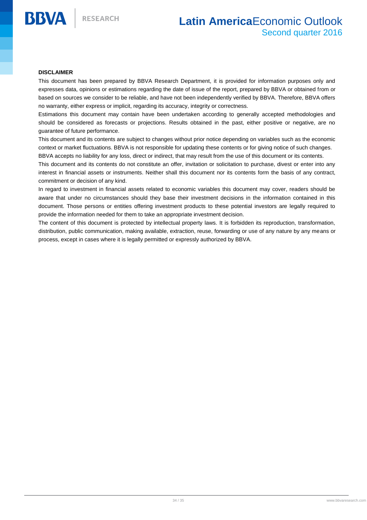#### **DISCLAIMER**

**BBVA** 

This document has been prepared by BBVA Research Department, it is provided for information purposes only and expresses data, opinions or estimations regarding the date of issue of the report, prepared by BBVA or obtained from or based on sources we consider to be reliable, and have not been independently verified by BBVA. Therefore, BBVA offers no warranty, either express or implicit, regarding its accuracy, integrity or correctness.

Estimations this document may contain have been undertaken according to generally accepted methodologies and should be considered as forecasts or projections. Results obtained in the past, either positive or negative, are no guarantee of future performance.

This document and its contents are subject to changes without prior notice depending on variables such as the economic context or market fluctuations. BBVA is not responsible for updating these contents or for giving notice of such changes.

BBVA accepts no liability for any loss, direct or indirect, that may result from the use of this document or its contents.

This document and its contents do not constitute an offer, invitation or solicitation to purchase, divest or enter into any interest in financial assets or instruments. Neither shall this document nor its contents form the basis of any contract, commitment or decision of any kind.

In regard to investment in financial assets related to economic variables this document may cover, readers should be aware that under no circumstances should they base their investment decisions in the information contained in this document. Those persons or entities offering investment products to these potential investors are legally required to provide the information needed for them to take an appropriate investment decision.

The content of this document is protected by intellectual property laws. It is forbidden its reproduction, transformation, distribution, public communication, making available, extraction, reuse, forwarding or use of any nature by any means or process, except in cases where it is legally permitted or expressly authorized by BBVA.